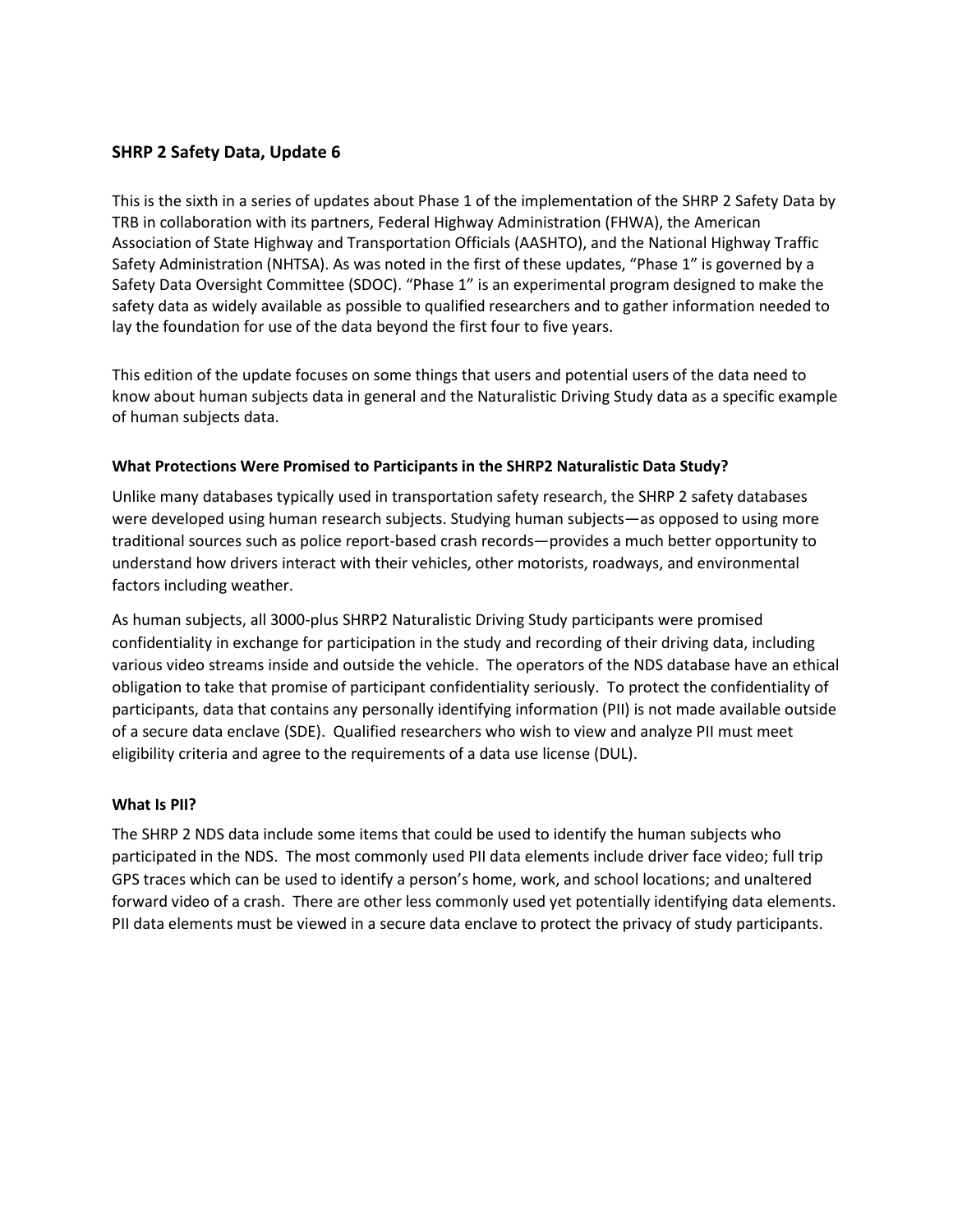# **SHRP 2 Safety Data, Update 6**

This is the sixth in a series of updates about Phase 1 of the implementation of the SHRP 2 Safety Data by TRB in collaboration with its partners, Federal Highway Administration (FHWA), the American Association of State Highway and Transportation Officials (AASHTO), and the National Highway Traffic Safety Administration (NHTSA). As was noted in the first of these updates, "Phase 1" is governed by a Safety Data Oversight Committee (SDOC). "Phase 1" is an experimental program designed to make the safety data as widely available as possible to qualified researchers and to gather information needed to lay the foundation for use of the data beyond the first four to five years.

This edition of the update focuses on some things that users and potential users of the data need to know about human subjects data in general and the Naturalistic Driving Study data as a specific example of human subjects data.

## **What Protections Were Promised to Participants in the SHRP2 Naturalistic Data Study?**

Unlike many databases typically used in transportation safety research, the SHRP 2 safety databases were developed using human research subjects. Studying human subjects—as opposed to using more traditional sources such as police report-based crash records—provides a much better opportunity to understand how drivers interact with their vehicles, other motorists, roadways, and environmental factors including weather.

As human subjects, all 3000-plus SHRP2 Naturalistic Driving Study participants were promised confidentiality in exchange for participation in the study and recording of their driving data, including various video streams inside and outside the vehicle. The operators of the NDS database have an ethical obligation to take that promise of participant confidentiality seriously. To protect the confidentiality of participants, data that contains any personally identifying information (PII) is not made available outside of a secure data enclave (SDE). Qualified researchers who wish to view and analyze PII must meet eligibility criteria and agree to the requirements of a data use license (DUL).

## **What Is PII?**

The SHRP 2 NDS data include some items that could be used to identify the human subjects who participated in the NDS. The most commonly used PII data elements include driver face video; full trip GPS traces which can be used to identify a person's home, work, and school locations; and unaltered forward video of a crash. There are other less commonly used yet potentially identifying data elements. PII data elements must be viewed in a secure data enclave to protect the privacy of study participants.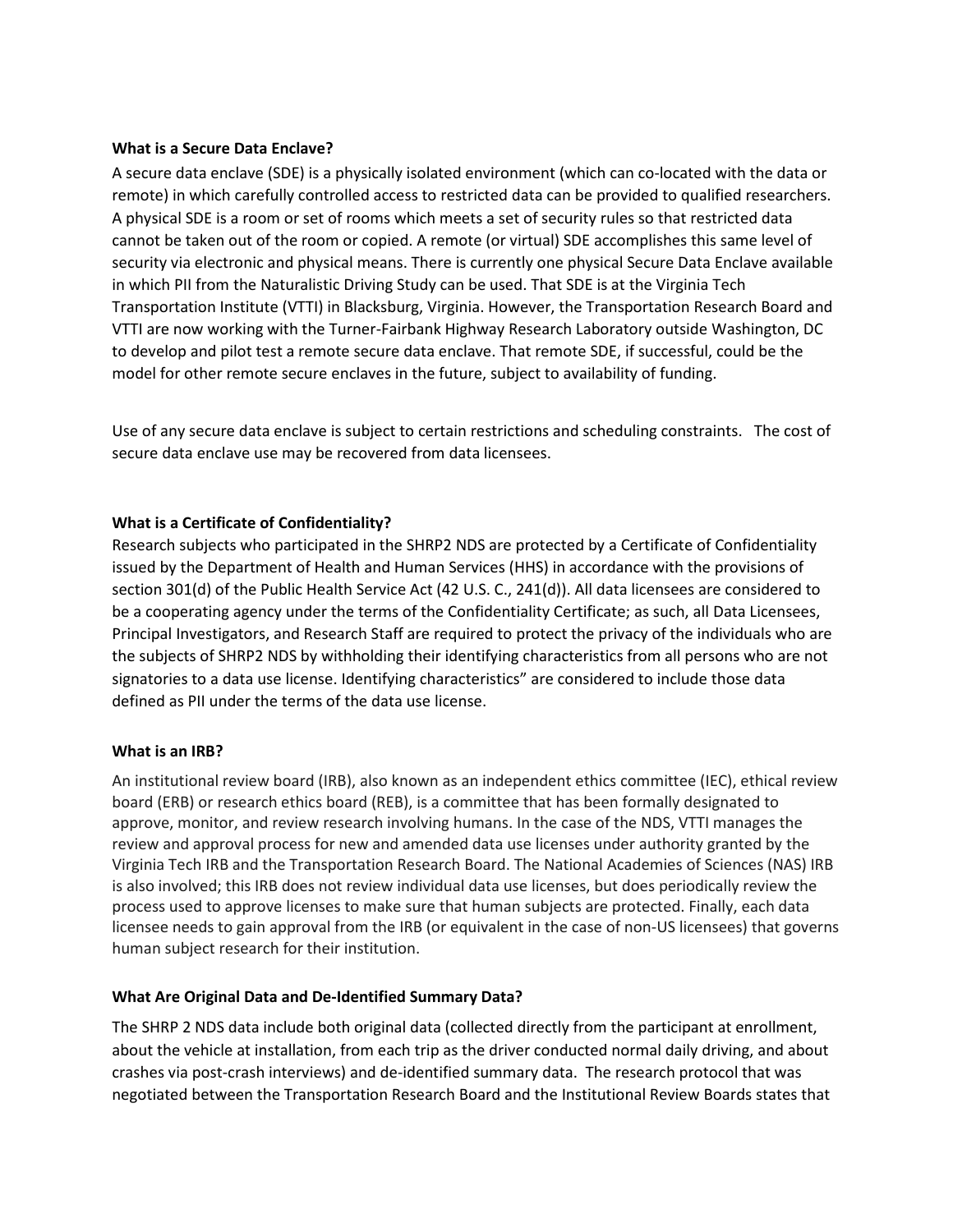#### **What is a Secure Data Enclave?**

A secure data enclave (SDE) is a physically isolated environment (which can co-located with the data or remote) in which carefully controlled access to restricted data can be provided to qualified researchers. A physical SDE is a room or set of rooms which meets a set of security rules so that restricted data cannot be taken out of the room or copied. A remote (or virtual) SDE accomplishes this same level of security via electronic and physical means. There is currently one physical Secure Data Enclave available in which PII from the Naturalistic Driving Study can be used. That SDE is at the Virginia Tech Transportation Institute (VTTI) in Blacksburg, Virginia. However, the Transportation Research Board and VTTI are now working with the Turner-Fairbank Highway Research Laboratory outside Washington, DC to develop and pilot test a remote secure data enclave. That remote SDE, if successful, could be the model for other remote secure enclaves in the future, subject to availability of funding.

Use of any secure data enclave is subject to certain restrictions and scheduling constraints. The cost of secure data enclave use may be recovered from data licensees.

## **What is a Certificate of Confidentiality?**

Research subjects who participated in the SHRP2 NDS are protected by a Certificate of Confidentiality issued by the Department of Health and Human Services (HHS) in accordance with the provisions of section 301(d) of the Public Health Service Act (42 U.S. C., 241(d)). All data licensees are considered to be a cooperating agency under the terms of the Confidentiality Certificate; as such, all Data Licensees, Principal Investigators, and Research Staff are required to protect the privacy of the individuals who are the subjects of SHRP2 NDS by withholding their identifying characteristics from all persons who are not signatories to a data use license. Identifying characteristics" are considered to include those data defined as PII under the terms of the data use license.

#### **What is an IRB?**

An institutional review board (IRB), also known as an independent ethics committee (IEC), ethical review board (ERB) or research ethics board (REB), is a committee that has been formally designated to approve, monitor, and review research involving humans. In the case of the NDS, VTTI manages the review and approval process for new and amended data use licenses under authority granted by the Virginia Tech IRB and the Transportation Research Board. The National Academies of Sciences (NAS) IRB is also involved; this IRB does not review individual data use licenses, but does periodically review the process used to approve licenses to make sure that human subjects are protected. Finally, each data licensee needs to gain approval from the IRB (or equivalent in the case of non-US licensees) that governs human subject research for their institution.

#### **What Are Original Data and De-Identified Summary Data?**

The SHRP 2 NDS data include both original data (collected directly from the participant at enrollment, about the vehicle at installation, from each trip as the driver conducted normal daily driving, and about crashes via post-crash interviews) and de-identified summary data. The research protocol that was negotiated between the Transportation Research Board and the Institutional Review Boards states that